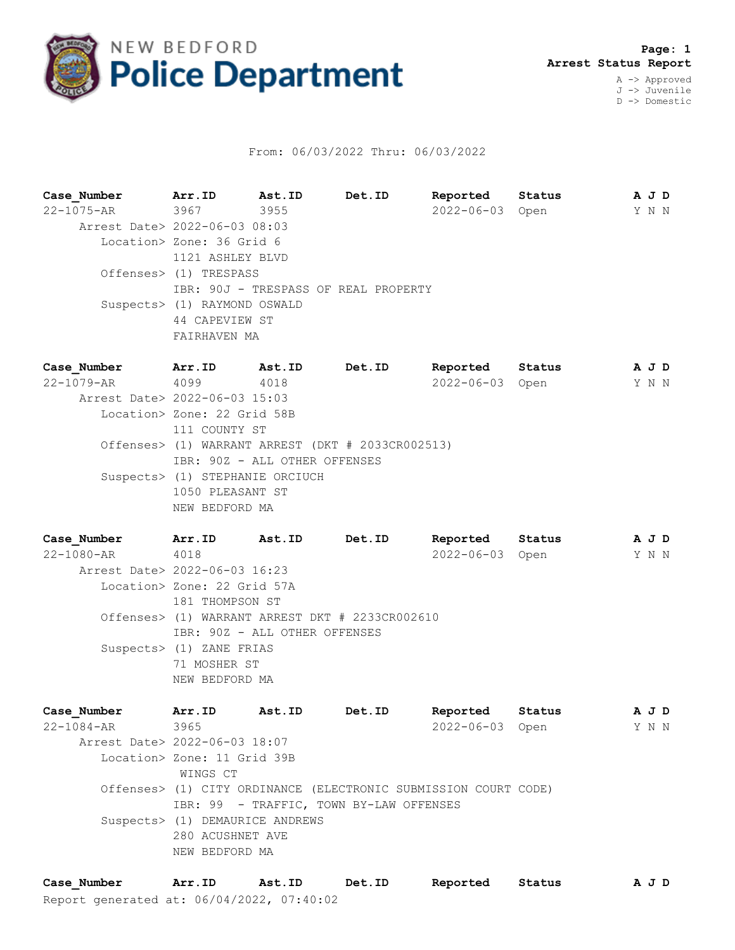

## From: 06/03/2022 Thru: 06/03/2022

**Case\_Number Arr.ID Ast.ID Det.ID Reported Status A J D** 22-1075-AR 3967 3955 2022-06-03 Open Y N N Arrest Date> 2022-06-03 08:03 Location> Zone: 36 Grid 6 1121 ASHLEY BLVD Offenses> (1) TRESPASS IBR: 90J - TRESPASS OF REAL PROPERTY Suspects> (1) RAYMOND OSWALD 44 CAPEVIEW ST FAIRHAVEN MA

**Case\_Number Arr.ID Ast.ID Det.ID Reported Status A J D** 22-1079-AR 4099 4018 2022-06-03 Open Y N N Arrest Date> 2022-06-03 15:03 Location> Zone: 22 Grid 58B 111 COUNTY ST Offenses> (1) WARRANT ARREST (DKT # 2033CR002513) IBR: 90Z - ALL OTHER OFFENSES Suspects> (1) STEPHANIE ORCIUCH 1050 PLEASANT ST NEW BEDFORD MA

**Case\_Number Arr.ID Ast.ID Det.ID Reported Status A J D** 22-1080-AR 4018 2022-06-03 Open Y N N Arrest Date> 2022-06-03 16:23 Location> Zone: 22 Grid 57A 181 THOMPSON ST Offenses> (1) WARRANT ARREST DKT # 2233CR002610 IBR: 90Z - ALL OTHER OFFENSES Suspects> (1) ZANE FRIAS 71 MOSHER ST NEW BEDFORD MA

| Case Number                   | Arr.ID Ast.ID                   |  | Det.ID                                                          | Reported        | Status |  | A J D |  |  |
|-------------------------------|---------------------------------|--|-----------------------------------------------------------------|-----------------|--------|--|-------|--|--|
| $22 - 1084 - AR$ 3965         |                                 |  |                                                                 | 2022-06-03 Open |        |  | Y N N |  |  |
| Arrest Date> 2022-06-03 18:07 |                                 |  |                                                                 |                 |        |  |       |  |  |
|                               | Location> Zone: 11 Grid 39B     |  |                                                                 |                 |        |  |       |  |  |
|                               | WINGS CT                        |  |                                                                 |                 |        |  |       |  |  |
|                               |                                 |  | Offenses> (1) CITY ORDINANCE (ELECTRONIC SUBMISSION COURT CODE) |                 |        |  |       |  |  |
|                               |                                 |  | IBR: 99 - TRAFFIC, TOWN BY-LAW OFFENSES                         |                 |        |  |       |  |  |
|                               | Suspects> (1) DEMAURICE ANDREWS |  |                                                                 |                 |        |  |       |  |  |
|                               | 280 ACUSHNET AVE                |  |                                                                 |                 |        |  |       |  |  |
|                               | NEW BEDFORD MA                  |  |                                                                 |                 |        |  |       |  |  |
|                               |                                 |  |                                                                 |                 |        |  |       |  |  |

Report generated at: 06/04/2022, 07:40:02 **Case\_Number Arr.ID Ast.ID Det.ID Reported Status A J D**